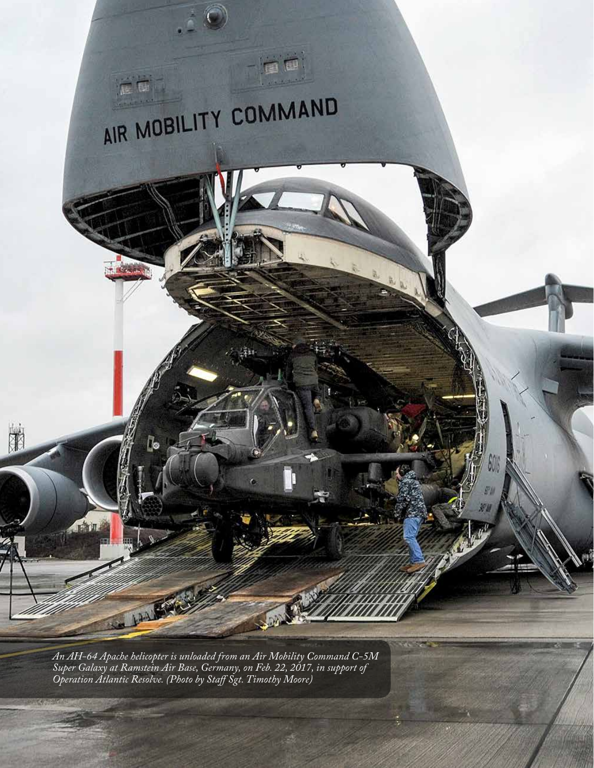

*An AH-64 Apache helicopter is unloaded from an Air Mobility Command C-5M Super Galaxy at Ramstein Air Base, Germany, on Feb. 22, 2017, in support of Operation Atlantic Resolve. (Photo by Staff Sgt. Timothy Moore)*

**26**

**CO**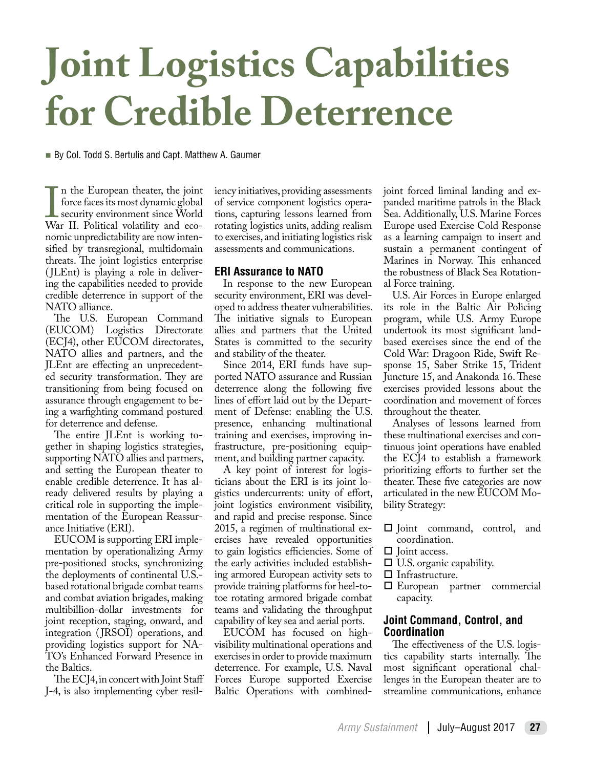# **Joint Logistics Capabilities for Credible Deterrence**

■ By Col. Todd S. Bertulis and Capt. Matthew A. Gaumer

If the European theater, the John<br>force faces its most dynamic global<br>security environment since World<br>War II. Political volatility and econ the European theater, the joint force faces its most dynamic global security environment since World nomic unpredictability are now intensified by transregional, multidomain threats. The joint logistics enterprise (JLEnt) is playing a role in delivering the capabilities needed to provide credible deterrence in support of the NATO alliance.

The U.S. European Command (EUCOM) Logistics Directorate (ECJ4), other EUCOM directorates, NATO allies and partners, and the JLEnt are effecting an unprecedented security transformation. They are transitioning from being focused on assurance through engagement to being a warfighting command postured for deterrence and defense.

The entire JLEnt is working together in shaping logistics strategies, supporting NATO allies and partners, and setting the European theater to enable credible deterrence. It has already delivered results by playing a critical role in supporting the implementation of the European Reassurance Initiative (ERI).

EUCOM is supporting ERI implementation by operationalizing Army pre-positioned stocks, synchronizing the deployments of continental U.S. based rotational brigade combat teams and combat aviation brigades, making multibillion-dollar investments for joint reception, staging, onward, and integration (JRSOI) operations, and providing logistics support for NA-TO's Enhanced Forward Presence in the Baltics.

The ECJ4, in concert with Joint Staff J-4, is also implementing cyber resiliency initiatives, providing assessments of service component logistics operations, capturing lessons learned from rotating logistics units, adding realism to exercises, and initiating logistics risk assessments and communications.

## **ERI Assurance to NATO**

In response to the new European security environment, ERI was developed to address theater vulnerabilities. The initiative signals to European allies and partners that the United States is committed to the security and stability of the theater.

Since 2014, ERI funds have supported NATO assurance and Russian deterrence along the following five lines of effort laid out by the Department of Defense: enabling the U.S. presence, enhancing multinational training and exercises, improving infrastructure, pre-positioning equipment, and building partner capacity.

A key point of interest for logisticians about the ERI is its joint logistics undercurrents: unity of effort, joint logistics environment visibility, and rapid and precise response. Since 2015, a regimen of multinational exercises have revealed opportunities to gain logistics efficiencies. Some of the early activities included establishing armored European activity sets to provide training platforms for heel-totoe rotating armored brigade combat teams and validating the throughput capability of key sea and aerial ports.

EUCOM has focused on highvisibility multinational operations and exercises in order to provide maximum deterrence. For example, U.S. Naval Forces Europe supported Exercise Baltic Operations with combinedjoint forced liminal landing and expanded maritime patrols in the Black Sea. Additionally, U.S. Marine Forces Europe used Exercise Cold Response as a learning campaign to insert and sustain a permanent contingent of Marines in Norway. This enhanced the robustness of Black Sea Rotational Force training.

U.S. Air Forces in Europe enlarged its role in the Baltic Air Policing program, while U.S. Army Europe undertook its most significant landbased exercises since the end of the Cold War: Dragoon Ride, Swift Response 15, Saber Strike 15, Trident Juncture 15, and Anakonda 16. These exercises provided lessons about the coordination and movement of forces throughout the theater.

Analyses of lessons learned from these multinational exercises and continuous joint operations have enabled the ECJ4 to establish a framework prioritizing efforts to further set the theater. These five categories are now articulated in the new EUCOM Mobility Strategy:

- Joint command, control, and coordination.
- $\Box$  Joint access.
- $\Box$  U.S. organic capability.
- □ Infrastructure.
- European partner commercial capacity.

## **Joint Command, Control, and Coordination**

The effectiveness of the U.S. logistics capability starts internally. The most significant operational challenges in the European theater are to streamline communications, enhance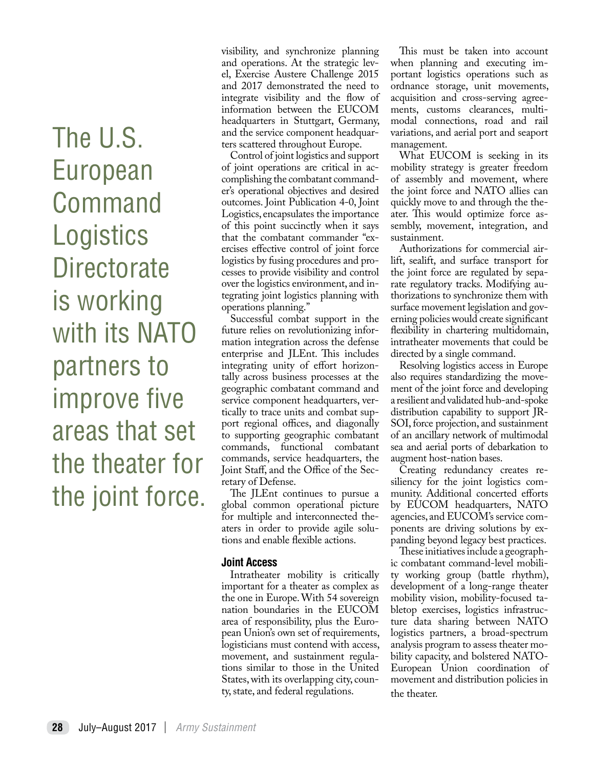The U.S. European Command **Logistics Directorate** is working with its NATO partners to improve five areas that set the theater for the joint force. visibility, and synchronize planning and operations. At the strategic level, Exercise Austere Challenge 2015 and 2017 demonstrated the need to integrate visibility and the flow of information between the EUCOM headquarters in Stuttgart, Germany, and the service component headquarters scattered throughout Europe.

Control of joint logistics and support of joint operations are critical in accomplishing the combatant commander's operational objectives and desired outcomes. Joint Publication 4-0, Joint Logistics, encapsulates the importance of this point succinctly when it says that the combatant commander "exercises effective control of joint force logistics by fusing procedures and processes to provide visibility and control over the logistics environment, and integrating joint logistics planning with operations planning."

Successful combat support in the future relies on revolutionizing information integration across the defense enterprise and JLEnt. This includes integrating unity of effort horizontally across business processes at the geographic combatant command and service component headquarters, vertically to trace units and combat support regional offices, and diagonally to supporting geographic combatant commands, functional combatant commands, service headquarters, the Joint Staff, and the Office of the Secretary of Defense.

The JLEnt continues to pursue a global common operational picture for multiple and interconnected theaters in order to provide agile solutions and enable flexible actions.

#### **Joint Access**

Intratheater mobility is critically important for a theater as complex as the one in Europe. With 54 sovereign nation boundaries in the EUCOM area of responsibility, plus the European Union's own set of requirements, logisticians must contend with access, movement, and sustainment regulations similar to those in the United States, with its overlapping city, county, state, and federal regulations.

This must be taken into account when planning and executing important logistics operations such as ordnance storage, unit movements, acquisition and cross-serving agreements, customs clearances, multimodal connections, road and rail variations, and aerial port and seaport management.

What EUCOM is seeking in its mobility strategy is greater freedom of assembly and movement, where the joint force and NATO allies can quickly move to and through the theater. This would optimize force assembly, movement, integration, and sustainment.

Authorizations for commercial airlift, sealift, and surface transport for the joint force are regulated by separate regulatory tracks. Modifying authorizations to synchronize them with surface movement legislation and governing policies would create significant flexibility in chartering multidomain, intratheater movements that could be directed by a single command.

Resolving logistics access in Europe also requires standardizing the movement of the joint force and developing a resilient and validated hub-and-spoke distribution capability to support JR-SOI, force projection, and sustainment of an ancillary network of multimodal sea and aerial ports of debarkation to augment host-nation bases.

Creating redundancy creates resiliency for the joint logistics community. Additional concerted efforts by EUCOM headquarters, NATO agencies, and EUCOM's service components are driving solutions by expanding beyond legacy best practices.

These initiatives include a geographic combatant command-level mobility working group (battle rhythm), development of a long-range theater mobility vision, mobility-focused tabletop exercises, logistics infrastructure data sharing between NATO logistics partners, a broad-spectrum analysis program to assess theater mobility capacity, and bolstered NATO-European Union coordination of movement and distribution policies in the theater.